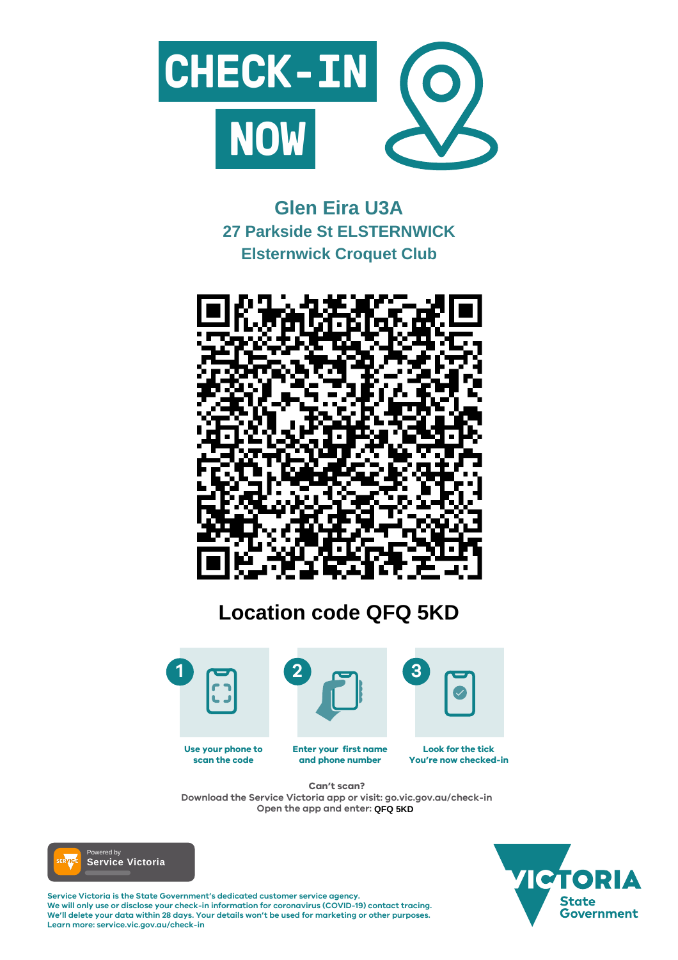

#### **Enter your first name and phone number Look for the tick You're now checked-in Use your phone to scan the code**

**Service Victoria is the State Government's dedicated customer service agency. We will only use or disclose your check-in information for coronavirus (COVID-19) contact tracing. We'll delete your data within 28 days. Your details won't be used for marketing or other purposes. Learn more: service.vic.gov.au/check-in**





## **Can't scan?**

**Download the Service Victoria app or visit: go.vic.gov.au/check-in Open the app and enter: QFQ 5KD**



# **Glen Eira U3A 27 Parkside St ELSTERNWICK Elsternwick Croquet Club**



# **Location code QFQ 5KD**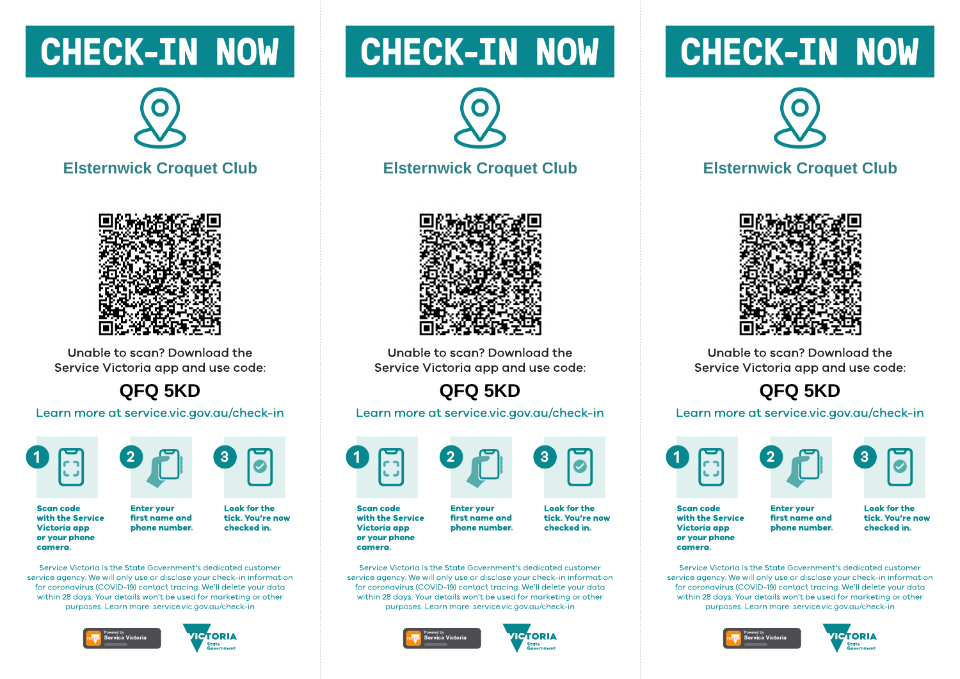# **CHECK-IN NOW**



**Elsternwick Croquet Club** 



Unable to scan? Download the Service Victoria app and use code:

QFQ 5KD

Learn more at service.vic.gov.au/check-in





**Enter vour** 

**Scan code** with the Service **Victoria** app or your phone camera.

**Look for the** first name and tick. You're now checked in. phone number.

Service Victoria is the State Government's dedicated customer service gaency. We will only use or disclose your check-in information for coronavirus (COVID-19) contact tracing. We'll delete your data within 28 days. Your details won't be used for marketing or other purposes. Learn more: service.vic.gov.gu/check-in





# **CHECK-IN NOW**



#### **Elsternwick Croquet Club**



Unable to scan? Download the Service Victoria app and use code:

## QFQ 5KD

Learn more at service.vic.gov.au/check-in



**Scan code** with the Service **Victoria app** or your phone camera.

**Enter vour** first name and phone number.

Service Victoria is the State Government's dedicated customer service gaency. We will only use or disclose your check-in information for coronavirus (COVID-19) contact tracing. We'll delete your data within 28 days. Your details won't be used for marketing or other purposes. Learn more: service.vic.gov.gu/check-in





**Look for the** 

checked in.

tick. You're now

# **CHECK-IN NOW**



### **Elsternwick Croquet Club**



Unable to scan? Download the Service Victoria app and use code:

### QFQ 5KD

#### Learn more at service.vic.gov.au/check-in







**Scan code** with the Service **Victoria app** or your phone camera.

**Enter vour** first name and phone number. **Look for the** tick. You're now checked in.

Service Victoria is the State Government's dedicated customer service gaency. We will only use or disclose your check-in information for coronavirus (COVID-19) contact tracing. We'll delete your data within 28 days. Your details won't be used for marketing or other purposes. Learn more: service.vic.gov.gu/check-in